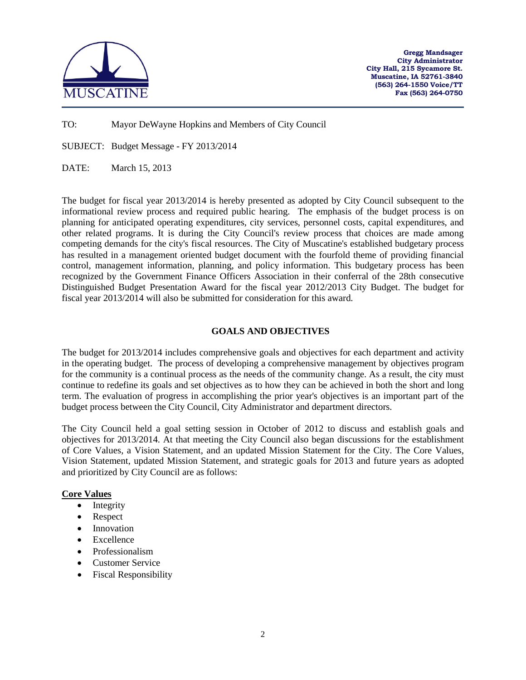

**Gregg Mandsager City Administrator City Hall, 215 Sycamore St. Muscatine, IA 52761-3840 (563) 264-1550 Voice/TT Fax (563) 264-0750**

TO: Mayor DeWayne Hopkins and Members of City Council

SUBJECT: Budget Message - FY 2013/2014

DATE: March 15, 2013

The budget for fiscal year 2013/2014 is hereby presented as adopted by City Council subsequent to the informational review process and required public hearing. The emphasis of the budget process is on planning for anticipated operating expenditures, city services, personnel costs, capital expenditures, and other related programs. It is during the City Council's review process that choices are made among competing demands for the city's fiscal resources. The City of Muscatine's established budgetary process has resulted in a management oriented budget document with the fourfold theme of providing financial control, management information, planning, and policy information. This budgetary process has been recognized by the Government Finance Officers Association in their conferral of the 28th consecutive Distinguished Budget Presentation Award for the fiscal year 2012/2013 City Budget. The budget for fiscal year 2013/2014 will also be submitted for consideration for this award.

### **GOALS AND OBJECTIVES**

The budget for 2013/2014 includes comprehensive goals and objectives for each department and activity in the operating budget. The process of developing a comprehensive management by objectives program for the community is a continual process as the needs of the community change. As a result, the city must continue to redefine its goals and set objectives as to how they can be achieved in both the short and long term. The evaluation of progress in accomplishing the prior year's objectives is an important part of the budget process between the City Council, City Administrator and department directors.

The City Council held a goal setting session in October of 2012 to discuss and establish goals and objectives for 2013/2014. At that meeting the City Council also began discussions for the establishment of Core Values, a Vision Statement, and an updated Mission Statement for the City. The Core Values, Vision Statement, updated Mission Statement, and strategic goals for 2013 and future years as adopted and prioritized by City Council are as follows:

### **Core Values**

- Integrity
- Respect
- **Innovation**
- Excellence
- Professionalism
- Customer Service
- Fiscal Responsibility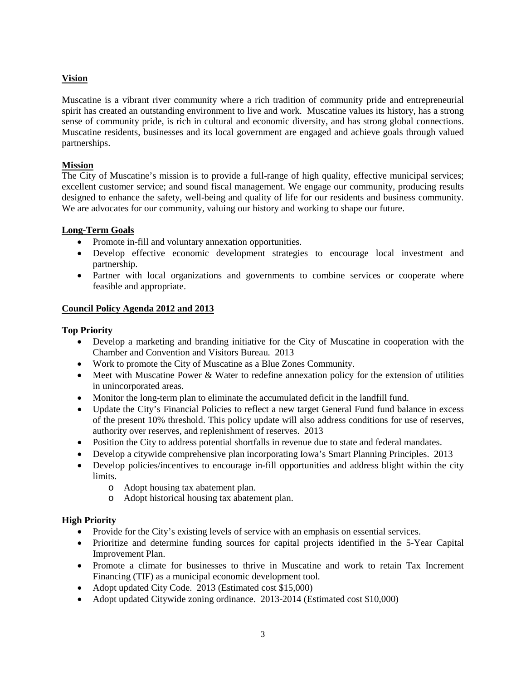# **Vision**

Muscatine is a vibrant river community where a rich tradition of community pride and entrepreneurial spirit has created an outstanding environment to live and work. Muscatine values its history, has a strong sense of community pride, is rich in cultural and economic diversity, and has strong global connections. Muscatine residents, businesses and its local government are engaged and achieve goals through valued partnerships.

# **Mission**

The City of Muscatine's mission is to provide a full-range of high quality, effective municipal services; excellent customer service; and sound fiscal management. We engage our community, producing results designed to enhance the safety, well-being and quality of life for our residents and business community. We are advocates for our community, valuing our history and working to shape our future.

# **Long-Term Goals**

- Promote in-fill and voluntary annexation opportunities.
- Develop effective economic development strategies to encourage local investment and partnership.
- Partner with local organizations and governments to combine services or cooperate where feasible and appropriate.

# **Council Policy Agenda 2012 and 2013**

# **Top Priority**

- Develop a marketing and branding initiative for the City of Muscatine in cooperation with the Chamber and Convention and Visitors Bureau. 2013
- Work to promote the City of Muscatine as a Blue Zones Community.
- Meet with Muscatine Power & Water to redefine annexation policy for the extension of utilities in unincorporated areas.
- Monitor the long-term plan to eliminate the accumulated deficit in the landfill fund.
- Update the City's Financial Policies to reflect a new target General Fund fund balance in excess of the present 10% threshold. This policy update will also address conditions for use of reserves, authority over reserves, and replenishment of reserves. 2013
- Position the City to address potential shortfalls in revenue due to state and federal mandates.
- Develop a citywide comprehensive plan incorporating Iowa's Smart Planning Principles. 2013
- Develop policies/incentives to encourage in-fill opportunities and address blight within the city limits.
	- o Adopt housing tax abatement plan.
	- o Adopt historical housing tax abatement plan.

### **High Priority**

- Provide for the City's existing levels of service with an emphasis on essential services.
- Prioritize and determine funding sources for capital projects identified in the 5-Year Capital Improvement Plan.
- Promote a climate for businesses to thrive in Muscatine and work to retain Tax Increment Financing (TIF) as a municipal economic development tool.
- Adopt updated City Code. 2013 (Estimated cost \$15,000)
- Adopt updated Citywide zoning ordinance. 2013-2014 (Estimated cost \$10,000)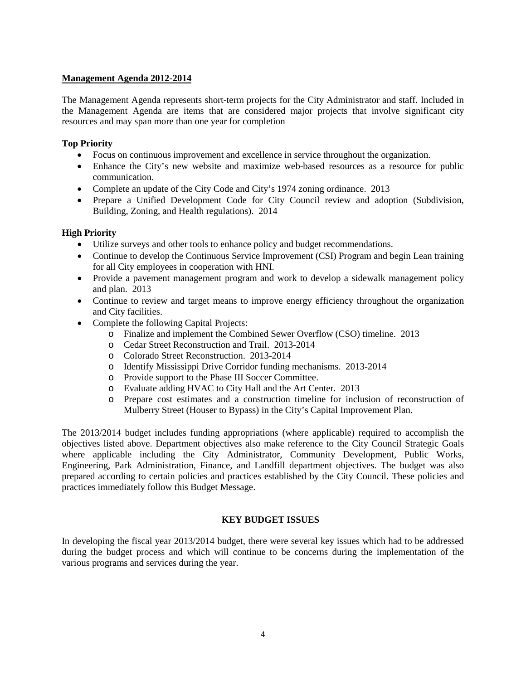## **Management Agenda 2012-2014**

The Management Agenda represents short-term projects for the City Administrator and staff. Included in the Management Agenda are items that are considered major projects that involve significant city resources and may span more than one year for completion

## **Top Priority**

- Focus on continuous improvement and excellence in service throughout the organization.
- Enhance the City's new website and maximize web-based resources as a resource for public communication.
- Complete an update of the City Code and City's 1974 zoning ordinance. 2013
- Prepare a Unified Development Code for City Council review and adoption (Subdivision, Building, Zoning, and Health regulations). 2014

# **High Priority**

- Utilize surveys and other tools to enhance policy and budget recommendations.
- Continue to develop the Continuous Service Improvement (CSI) Program and begin Lean training for all City employees in cooperation with HNI.
- Provide a pavement management program and work to develop a sidewalk management policy and plan. 2013
- Continue to review and target means to improve energy efficiency throughout the organization and City facilities.
- Complete the following Capital Projects:
	- o Finalize and implement the Combined Sewer Overflow (CSO) timeline. 2013
	- o Cedar Street Reconstruction and Trail. 2013-2014
	- o Colorado Street Reconstruction. 2013-2014
	- o Identify Mississippi Drive Corridor funding mechanisms. 2013-2014
	- o Provide support to the Phase III Soccer Committee.
	- o Evaluate adding HVAC to City Hall and the Art Center. 2013
	- o Prepare cost estimates and a construction timeline for inclusion of reconstruction of Mulberry Street (Houser to Bypass) in the City's Capital Improvement Plan.

The 2013/2014 budget includes funding appropriations (where applicable) required to accomplish the objectives listed above. Department objectives also make reference to the City Council Strategic Goals where applicable including the City Administrator, Community Development, Public Works, Engineering, Park Administration, Finance, and Landfill department objectives. The budget was also prepared according to certain policies and practices established by the City Council. These policies and practices immediately follow this Budget Message.

# **KEY BUDGET ISSUES**

In developing the fiscal year 2013/2014 budget, there were several key issues which had to be addressed during the budget process and which will continue to be concerns during the implementation of the various programs and services during the year.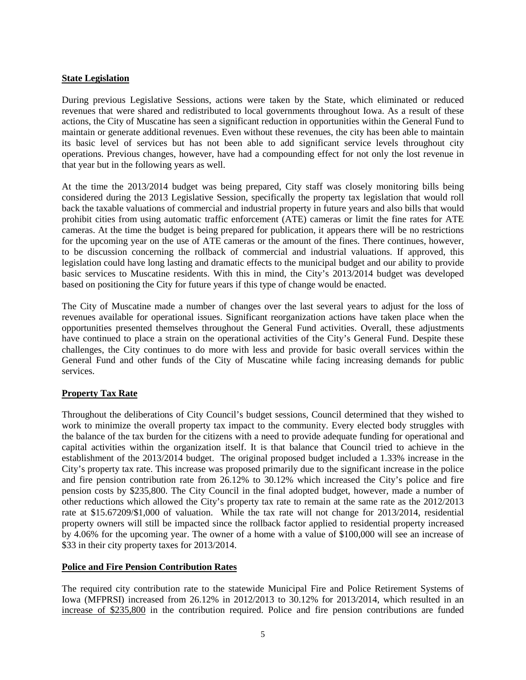## **State Legislation**

During previous Legislative Sessions, actions were taken by the State, which eliminated or reduced revenues that were shared and redistributed to local governments throughout Iowa. As a result of these actions, the City of Muscatine has seen a significant reduction in opportunities within the General Fund to maintain or generate additional revenues. Even without these revenues, the city has been able to maintain its basic level of services but has not been able to add significant service levels throughout city operations. Previous changes, however, have had a compounding effect for not only the lost revenue in that year but in the following years as well.

At the time the 2013/2014 budget was being prepared, City staff was closely monitoring bills being considered during the 2013 Legislative Session, specifically the property tax legislation that would roll back the taxable valuations of commercial and industrial property in future years and also bills that would prohibit cities from using automatic traffic enforcement (ATE) cameras or limit the fine rates for ATE cameras. At the time the budget is being prepared for publication, it appears there will be no restrictions for the upcoming year on the use of ATE cameras or the amount of the fines. There continues, however, to be discussion concerning the rollback of commercial and industrial valuations. If approved, this legislation could have long lasting and dramatic effects to the municipal budget and our ability to provide basic services to Muscatine residents. With this in mind, the City's 2013/2014 budget was developed based on positioning the City for future years if this type of change would be enacted.

The City of Muscatine made a number of changes over the last several years to adjust for the loss of revenues available for operational issues. Significant reorganization actions have taken place when the opportunities presented themselves throughout the General Fund activities. Overall, these adjustments have continued to place a strain on the operational activities of the City's General Fund. Despite these challenges, the City continues to do more with less and provide for basic overall services within the General Fund and other funds of the City of Muscatine while facing increasing demands for public services.

# **Property Tax Rate**

Throughout the deliberations of City Council's budget sessions, Council determined that they wished to work to minimize the overall property tax impact to the community. Every elected body struggles with the balance of the tax burden for the citizens with a need to provide adequate funding for operational and capital activities within the organization itself. It is that balance that Council tried to achieve in the establishment of the 2013/2014 budget. The original proposed budget included a 1.33% increase in the City's property tax rate. This increase was proposed primarily due to the significant increase in the police and fire pension contribution rate from 26.12% to 30.12% which increased the City's police and fire pension costs by \$235,800. The City Council in the final adopted budget, however, made a number of other reductions which allowed the City's property tax rate to remain at the same rate as the 2012/2013 rate at \$15.67209/\$1,000 of valuation. While the tax rate will not change for 2013/2014, residential property owners will still be impacted since the rollback factor applied to residential property increased by 4.06% for the upcoming year. The owner of a home with a value of \$100,000 will see an increase of \$33 in their city property taxes for 2013/2014.

### **Police and Fire Pension Contribution Rates**

The required city contribution rate to the statewide Municipal Fire and Police Retirement Systems of Iowa (MFPRSI) increased from 26.12% in 2012/2013 to 30.12% for 2013/2014, which resulted in an increase of \$235,800 in the contribution required. Police and fire pension contributions are funded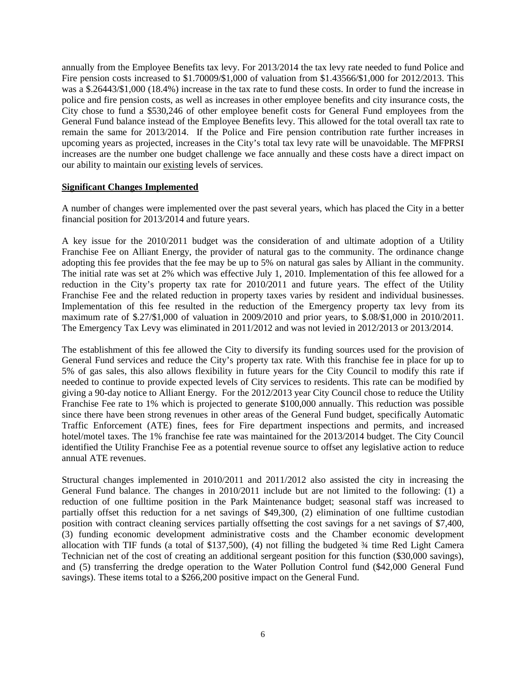annually from the Employee Benefits tax levy. For 2013/2014 the tax levy rate needed to fund Police and Fire pension costs increased to  $$1.70009/$1,000$  of valuation from  $$1.43566/$1,000$  for  $2012/2013$ . This was a \$.26443/\$1,000 (18.4%) increase in the tax rate to fund these costs. In order to fund the increase in police and fire pension costs, as well as increases in other employee benefits and city insurance costs, the City chose to fund a \$530,246 of other employee benefit costs for General Fund employees from the General Fund balance instead of the Employee Benefits levy. This allowed for the total overall tax rate to remain the same for 2013/2014. If the Police and Fire pension contribution rate further increases in upcoming years as projected, increases in the City's total tax levy rate will be unavoidable. The MFPRSI increases are the number one budget challenge we face annually and these costs have a direct impact on our ability to maintain our existing levels of services.

### **Significant Changes Implemented**

A number of changes were implemented over the past several years, which has placed the City in a better financial position for 2013/2014 and future years.

A key issue for the 2010/2011 budget was the consideration of and ultimate adoption of a Utility Franchise Fee on Alliant Energy, the provider of natural gas to the community. The ordinance change adopting this fee provides that the fee may be up to 5% on natural gas sales by Alliant in the community. The initial rate was set at 2% which was effective July 1, 2010. Implementation of this fee allowed for a reduction in the City's property tax rate for 2010/2011 and future years. The effect of the Utility Franchise Fee and the related reduction in property taxes varies by resident and individual businesses. Implementation of this fee resulted in the reduction of the Emergency property tax levy from its maximum rate of \$.27/\$1,000 of valuation in 2009/2010 and prior years, to \$.08/\$1,000 in 2010/2011. The Emergency Tax Levy was eliminated in 2011/2012 and was not levied in 2012/2013 or 2013/2014.

The establishment of this fee allowed the City to diversify its funding sources used for the provision of General Fund services and reduce the City's property tax rate. With this franchise fee in place for up to 5% of gas sales, this also allows flexibility in future years for the City Council to modify this rate if needed to continue to provide expected levels of City services to residents. This rate can be modified by giving a 90-day notice to Alliant Energy. For the 2012/2013 year City Council chose to reduce the Utility Franchise Fee rate to 1% which is projected to generate \$100,000 annually. This reduction was possible since there have been strong revenues in other areas of the General Fund budget, specifically Automatic Traffic Enforcement (ATE) fines, fees for Fire department inspections and permits, and increased hotel/motel taxes. The 1% franchise fee rate was maintained for the 2013/2014 budget. The City Council identified the Utility Franchise Fee as a potential revenue source to offset any legislative action to reduce annual ATE revenues.

Structural changes implemented in 2010/2011 and 2011/2012 also assisted the city in increasing the General Fund balance. The changes in 2010/2011 include but are not limited to the following: (1) a reduction of one fulltime position in the Park Maintenance budget; seasonal staff was increased to partially offset this reduction for a net savings of \$49,300, (2) elimination of one fulltime custodian position with contract cleaning services partially offsetting the cost savings for a net savings of \$7,400, (3) funding economic development administrative costs and the Chamber economic development allocation with TIF funds (a total of \$137,500), (4) not filling the budgeted ¾ time Red Light Camera Technician net of the cost of creating an additional sergeant position for this function (\$30,000 savings), and (5) transferring the dredge operation to the Water Pollution Control fund (\$42,000 General Fund savings). These items total to a \$266,200 positive impact on the General Fund.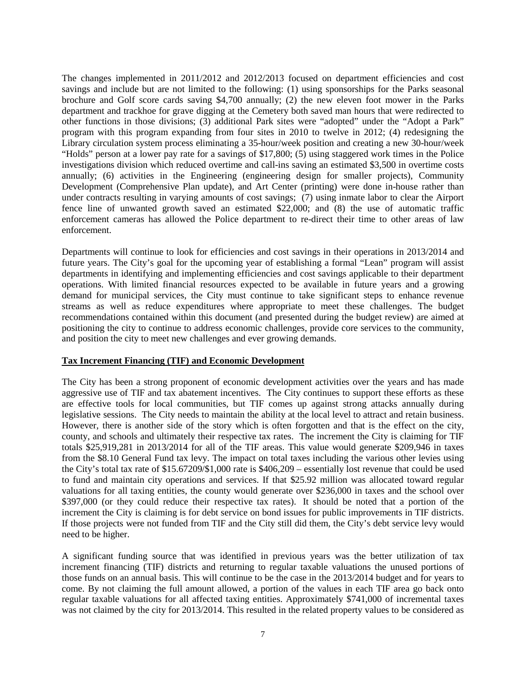The changes implemented in 2011/2012 and 2012/2013 focused on department efficiencies and cost savings and include but are not limited to the following: (1) using sponsorships for the Parks seasonal brochure and Golf score cards saving \$4,700 annually; (2) the new eleven foot mower in the Parks department and trackhoe for grave digging at the Cemetery both saved man hours that were redirected to other functions in those divisions; (3) additional Park sites were "adopted" under the "Adopt a Park" program with this program expanding from four sites in 2010 to twelve in 2012; (4) redesigning the Library circulation system process eliminating a 35-hour/week position and creating a new 30-hour/week "Holds" person at a lower pay rate for a savings of \$17,800; (5) using staggered work times in the Police investigations division which reduced overtime and call-ins saving an estimated \$3,500 in overtime costs annually; (6) activities in the Engineering (engineering design for smaller projects), Community Development (Comprehensive Plan update), and Art Center (printing) were done in-house rather than under contracts resulting in varying amounts of cost savings; (7) using inmate labor to clear the Airport fence line of unwanted growth saved an estimated \$22,000; and (8) the use of automatic traffic enforcement cameras has allowed the Police department to re-direct their time to other areas of law enforcement.

Departments will continue to look for efficiencies and cost savings in their operations in 2013/2014 and future years. The City's goal for the upcoming year of establishing a formal "Lean" program will assist departments in identifying and implementing efficiencies and cost savings applicable to their department operations. With limited financial resources expected to be available in future years and a growing demand for municipal services, the City must continue to take significant steps to enhance revenue streams as well as reduce expenditures where appropriate to meet these challenges. The budget recommendations contained within this document (and presented during the budget review) are aimed at positioning the city to continue to address economic challenges, provide core services to the community, and position the city to meet new challenges and ever growing demands.

#### **Tax Increment Financing (TIF) and Economic Development**

The City has been a strong proponent of economic development activities over the years and has made aggressive use of TIF and tax abatement incentives. The City continues to support these efforts as these are effective tools for local communities, but TIF comes up against strong attacks annually during legislative sessions. The City needs to maintain the ability at the local level to attract and retain business. However, there is another side of the story which is often forgotten and that is the effect on the city, county, and schools and ultimately their respective tax rates. The increment the City is claiming for TIF totals \$25,919,281 in 2013/2014 for all of the TIF areas. This value would generate \$209,946 in taxes from the \$8.10 General Fund tax levy. The impact on total taxes including the various other levies using the City's total tax rate of \$15.67209/\$1,000 rate is \$406,209 – essentially lost revenue that could be used to fund and maintain city operations and services. If that \$25.92 million was allocated toward regular valuations for all taxing entities, the county would generate over \$236,000 in taxes and the school over \$397,000 (or they could reduce their respective tax rates). It should be noted that a portion of the increment the City is claiming is for debt service on bond issues for public improvements in TIF districts. If those projects were not funded from TIF and the City still did them, the City's debt service levy would need to be higher.

A significant funding source that was identified in previous years was the better utilization of tax increment financing (TIF) districts and returning to regular taxable valuations the unused portions of those funds on an annual basis. This will continue to be the case in the 2013/2014 budget and for years to come. By not claiming the full amount allowed, a portion of the values in each TIF area go back onto regular taxable valuations for all affected taxing entities. Approximately \$741,000 of incremental taxes was not claimed by the city for 2013/2014. This resulted in the related property values to be considered as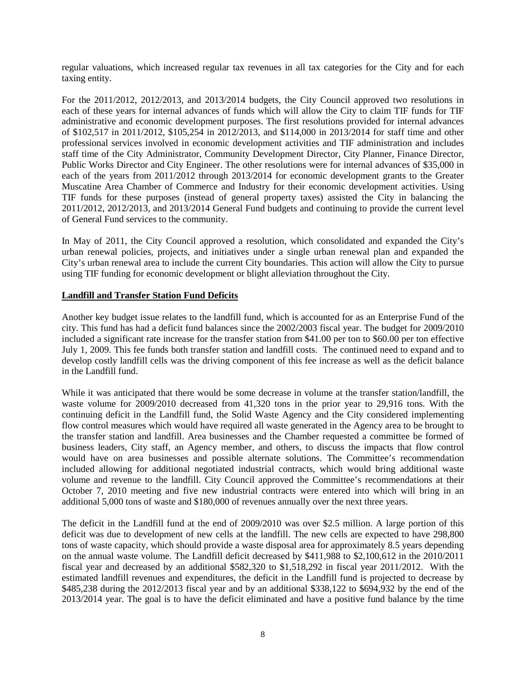regular valuations, which increased regular tax revenues in all tax categories for the City and for each taxing entity.

For the 2011/2012, 2012/2013, and 2013/2014 budgets, the City Council approved two resolutions in each of these years for internal advances of funds which will allow the City to claim TIF funds for TIF administrative and economic development purposes. The first resolutions provided for internal advances of \$102,517 in 2011/2012, \$105,254 in 2012/2013, and \$114,000 in 2013/2014 for staff time and other professional services involved in economic development activities and TIF administration and includes staff time of the City Administrator, Community Development Director, City Planner, Finance Director, Public Works Director and City Engineer. The other resolutions were for internal advances of \$35,000 in each of the years from 2011/2012 through 2013/2014 for economic development grants to the Greater Muscatine Area Chamber of Commerce and Industry for their economic development activities. Using TIF funds for these purposes (instead of general property taxes) assisted the City in balancing the 2011/2012, 2012/2013, and 2013/2014 General Fund budgets and continuing to provide the current level of General Fund services to the community.

In May of 2011, the City Council approved a resolution, which consolidated and expanded the City's urban renewal policies, projects, and initiatives under a single urban renewal plan and expanded the City's urban renewal area to include the current City boundaries. This action will allow the City to pursue using TIF funding for economic development or blight alleviation throughout the City.

### **Landfill and Transfer Station Fund Deficits**

Another key budget issue relates to the landfill fund, which is accounted for as an Enterprise Fund of the city. This fund has had a deficit fund balances since the 2002/2003 fiscal year. The budget for 2009/2010 included a significant rate increase for the transfer station from \$41.00 per ton to \$60.00 per ton effective July 1, 2009. This fee funds both transfer station and landfill costs. The continued need to expand and to develop costly landfill cells was the driving component of this fee increase as well as the deficit balance in the Landfill fund.

While it was anticipated that there would be some decrease in volume at the transfer station/landfill, the waste volume for 2009/2010 decreased from 41,320 tons in the prior year to 29,916 tons. With the continuing deficit in the Landfill fund, the Solid Waste Agency and the City considered implementing flow control measures which would have required all waste generated in the Agency area to be brought to the transfer station and landfill. Area businesses and the Chamber requested a committee be formed of business leaders, City staff, an Agency member, and others, to discuss the impacts that flow control would have on area businesses and possible alternate solutions. The Committee's recommendation included allowing for additional negotiated industrial contracts, which would bring additional waste volume and revenue to the landfill. City Council approved the Committee's recommendations at their October 7, 2010 meeting and five new industrial contracts were entered into which will bring in an additional 5,000 tons of waste and \$180,000 of revenues annually over the next three years.

The deficit in the Landfill fund at the end of 2009/2010 was over \$2.5 million. A large portion of this deficit was due to development of new cells at the landfill. The new cells are expected to have 298,800 tons of waste capacity, which should provide a waste disposal area for approximately 8.5 years depending on the annual waste volume. The Landfill deficit decreased by \$411,988 to \$2,100,612 in the 2010/2011 fiscal year and decreased by an additional \$582,320 to \$1,518,292 in fiscal year 2011/2012. With the estimated landfill revenues and expenditures, the deficit in the Landfill fund is projected to decrease by \$485,238 during the 2012/2013 fiscal year and by an additional \$338,122 to \$694,932 by the end of the 2013/2014 year. The goal is to have the deficit eliminated and have a positive fund balance by the time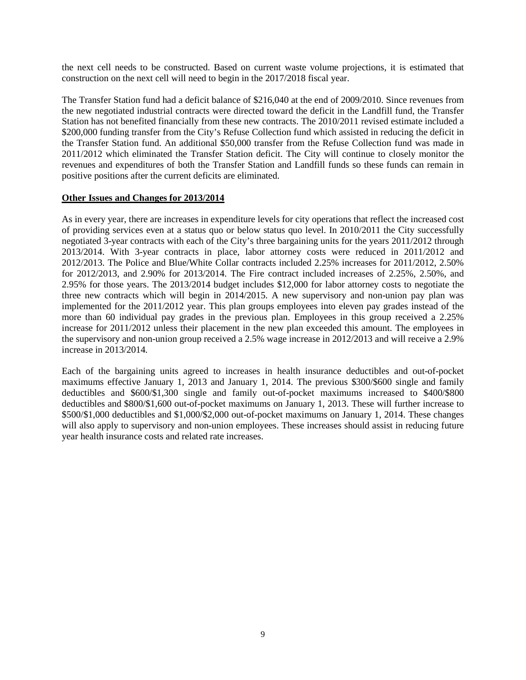the next cell needs to be constructed. Based on current waste volume projections, it is estimated that construction on the next cell will need to begin in the 2017/2018 fiscal year.

The Transfer Station fund had a deficit balance of \$216,040 at the end of 2009/2010. Since revenues from the new negotiated industrial contracts were directed toward the deficit in the Landfill fund, the Transfer Station has not benefited financially from these new contracts. The 2010/2011 revised estimate included a \$200,000 funding transfer from the City's Refuse Collection fund which assisted in reducing the deficit in the Transfer Station fund. An additional \$50,000 transfer from the Refuse Collection fund was made in 2011/2012 which eliminated the Transfer Station deficit. The City will continue to closely monitor the revenues and expenditures of both the Transfer Station and Landfill funds so these funds can remain in positive positions after the current deficits are eliminated.

### **Other Issues and Changes for 2013/2014**

As in every year, there are increases in expenditure levels for city operations that reflect the increased cost of providing services even at a status quo or below status quo level. In 2010/2011 the City successfully negotiated 3-year contracts with each of the City's three bargaining units for the years 2011/2012 through 2013/2014. With 3-year contracts in place, labor attorney costs were reduced in 2011/2012 and 2012/2013. The Police and Blue/White Collar contracts included 2.25% increases for 2011/2012, 2.50% for 2012/2013, and 2.90% for 2013/2014. The Fire contract included increases of 2.25%, 2.50%, and 2.95% for those years. The 2013/2014 budget includes \$12,000 for labor attorney costs to negotiate the three new contracts which will begin in 2014/2015. A new supervisory and non-union pay plan was implemented for the 2011/2012 year. This plan groups employees into eleven pay grades instead of the more than 60 individual pay grades in the previous plan. Employees in this group received a 2.25% increase for 2011/2012 unless their placement in the new plan exceeded this amount. The employees in the supervisory and non-union group received a 2.5% wage increase in 2012/2013 and will receive a 2.9% increase in 2013/2014.

Each of the bargaining units agreed to increases in health insurance deductibles and out-of-pocket maximums effective January 1, 2013 and January 1, 2014. The previous \$300/\$600 single and family deductibles and \$600/\$1,300 single and family out-of-pocket maximums increased to \$400/\$800 deductibles and \$800/\$1,600 out-of-pocket maximums on January 1, 2013. These will further increase to \$500/\$1,000 deductibles and \$1,000/\$2,000 out-of-pocket maximums on January 1, 2014. These changes will also apply to supervisory and non-union employees. These increases should assist in reducing future year health insurance costs and related rate increases.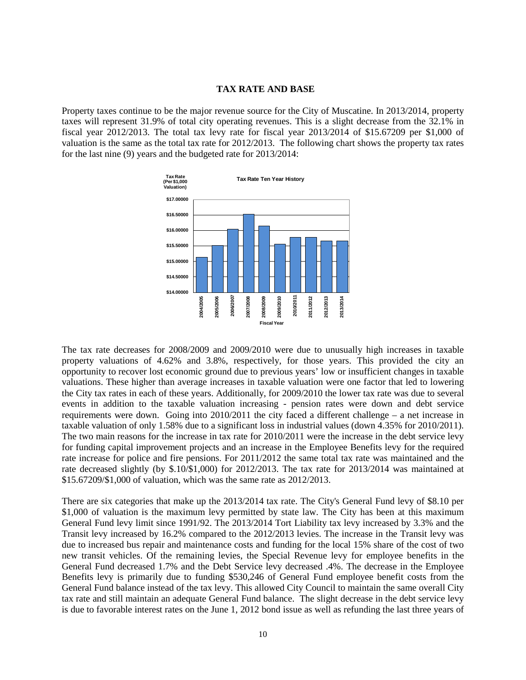#### **TAX RATE AND BASE**

Property taxes continue to be the major revenue source for the City of Muscatine. In 2013/2014, property taxes will represent 31.9% of total city operating revenues. This is a slight decrease from the 32.1% in fiscal year 2012/2013. The total tax levy rate for fiscal year 2013/2014 of \$15.67209 per \$1,000 of valuation is the same as the total tax rate for 2012/2013. The following chart shows the property tax rates for the last nine (9) years and the budgeted rate for 2013/2014:



The tax rate decreases for 2008/2009 and 2009/2010 were due to unusually high increases in taxable property valuations of 4.62% and 3.8%, respectively, for those years. This provided the city an opportunity to recover lost economic ground due to previous years' low or insufficient changes in taxable valuations. These higher than average increases in taxable valuation were one factor that led to lowering the City tax rates in each of these years. Additionally, for 2009/2010 the lower tax rate was due to several events in addition to the taxable valuation increasing - pension rates were down and debt service requirements were down. Going into 2010/2011 the city faced a different challenge – a net increase in taxable valuation of only 1.58% due to a significant loss in industrial values (down 4.35% for 2010/2011). The two main reasons for the increase in tax rate for 2010/2011 were the increase in the debt service levy for funding capital improvement projects and an increase in the Employee Benefits levy for the required rate increase for police and fire pensions. For 2011/2012 the same total tax rate was maintained and the rate decreased slightly (by \$.10/\$1,000) for 2012/2013. The tax rate for 2013/2014 was maintained at \$15.67209/\$1,000 of valuation, which was the same rate as 2012/2013.

There are six categories that make up the 2013/2014 tax rate. The City's General Fund levy of \$8.10 per \$1,000 of valuation is the maximum levy permitted by state law. The City has been at this maximum General Fund levy limit since 1991/92. The 2013/2014 Tort Liability tax levy increased by 3.3% and the Transit levy increased by 16.2% compared to the 2012/2013 levies. The increase in the Transit levy was due to increased bus repair and maintenance costs and funding for the local 15% share of the cost of two new transit vehicles. Of the remaining levies, the Special Revenue levy for employee benefits in the General Fund decreased 1.7% and the Debt Service levy decreased .4%. The decrease in the Employee Benefits levy is primarily due to funding \$530,246 of General Fund employee benefit costs from the General Fund balance instead of the tax levy. This allowed City Council to maintain the same overall City tax rate and still maintain an adequate General Fund balance. The slight decrease in the debt service levy is due to favorable interest rates on the June 1, 2012 bond issue as well as refunding the last three years of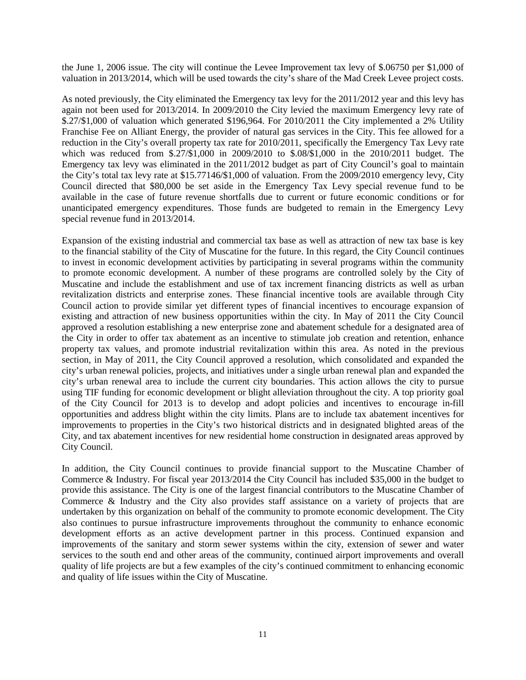the June 1, 2006 issue. The city will continue the Levee Improvement tax levy of \$.06750 per \$1,000 of valuation in 2013/2014, which will be used towards the city's share of the Mad Creek Levee project costs.

As noted previously, the City eliminated the Emergency tax levy for the 2011/2012 year and this levy has again not been used for 2013/2014. In 2009/2010 the City levied the maximum Emergency levy rate of \$.27/\$1,000 of valuation which generated \$196,964. For 2010/2011 the City implemented a 2% Utility Franchise Fee on Alliant Energy, the provider of natural gas services in the City. This fee allowed for a reduction in the City's overall property tax rate for 2010/2011, specifically the Emergency Tax Levy rate which was reduced from \$.27/\$1,000 in 2009/2010 to \$.08/\$1,000 in the 2010/2011 budget. The Emergency tax levy was eliminated in the 2011/2012 budget as part of City Council's goal to maintain the City's total tax levy rate at \$15.77146/\$1,000 of valuation. From the 2009/2010 emergency levy, City Council directed that \$80,000 be set aside in the Emergency Tax Levy special revenue fund to be available in the case of future revenue shortfalls due to current or future economic conditions or for unanticipated emergency expenditures. Those funds are budgeted to remain in the Emergency Levy special revenue fund in 2013/2014.

Expansion of the existing industrial and commercial tax base as well as attraction of new tax base is key to the financial stability of the City of Muscatine for the future. In this regard, the City Council continues to invest in economic development activities by participating in several programs within the community to promote economic development. A number of these programs are controlled solely by the City of Muscatine and include the establishment and use of tax increment financing districts as well as urban revitalization districts and enterprise zones. These financial incentive tools are available through City Council action to provide similar yet different types of financial incentives to encourage expansion of existing and attraction of new business opportunities within the city. In May of 2011 the City Council approved a resolution establishing a new enterprise zone and abatement schedule for a designated area of the City in order to offer tax abatement as an incentive to stimulate job creation and retention, enhance property tax values, and promote industrial revitalization within this area. As noted in the previous section, in May of 2011, the City Council approved a resolution, which consolidated and expanded the city's urban renewal policies, projects, and initiatives under a single urban renewal plan and expanded the city's urban renewal area to include the current city boundaries. This action allows the city to pursue using TIF funding for economic development or blight alleviation throughout the city. A top priority goal of the City Council for 2013 is to develop and adopt policies and incentives to encourage in-fill opportunities and address blight within the city limits. Plans are to include tax abatement incentives for improvements to properties in the City's two historical districts and in designated blighted areas of the City, and tax abatement incentives for new residential home construction in designated areas approved by City Council.

In addition, the City Council continues to provide financial support to the Muscatine Chamber of Commerce & Industry. For fiscal year 2013/2014 the City Council has included \$35,000 in the budget to provide this assistance. The City is one of the largest financial contributors to the Muscatine Chamber of Commerce & Industry and the City also provides staff assistance on a variety of projects that are undertaken by this organization on behalf of the community to promote economic development. The City also continues to pursue infrastructure improvements throughout the community to enhance economic development efforts as an active development partner in this process. Continued expansion and improvements of the sanitary and storm sewer systems within the city, extension of sewer and water services to the south end and other areas of the community, continued airport improvements and overall quality of life projects are but a few examples of the city's continued commitment to enhancing economic and quality of life issues within the City of Muscatine.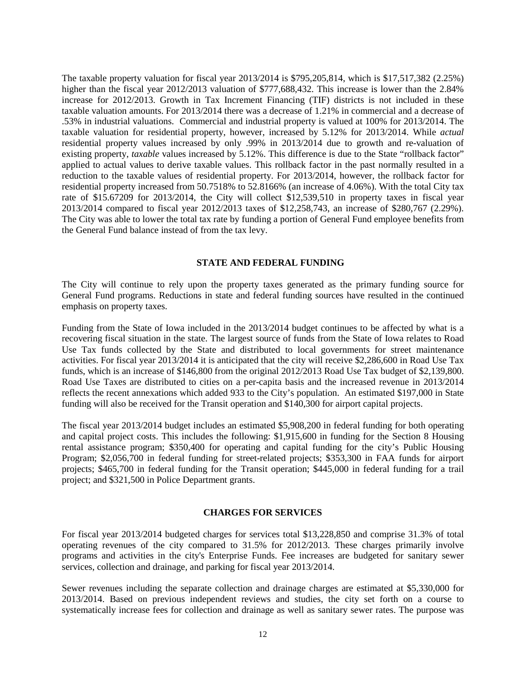The taxable property valuation for fiscal year 2013/2014 is \$795,205,814, which is \$17,517,382 (2.25%) higher than the fiscal year 2012/2013 valuation of \$777,688,432. This increase is lower than the 2.84% increase for 2012/2013. Growth in Tax Increment Financing (TIF) districts is not included in these taxable valuation amounts. For 2013/2014 there was a decrease of 1.21% in commercial and a decrease of .53% in industrial valuations. Commercial and industrial property is valued at 100% for 2013/2014. The taxable valuation for residential property, however, increased by 5.12% for 2013/2014. While *actual* residential property values increased by only .99% in 2013/2014 due to growth and re-valuation of existing property, *taxable* values increased by 5.12%. This difference is due to the State "rollback factor" applied to actual values to derive taxable values. This rollback factor in the past normally resulted in a reduction to the taxable values of residential property. For 2013/2014, however, the rollback factor for residential property increased from 50.7518% to 52.8166% (an increase of 4.06%). With the total City tax rate of \$15.67209 for 2013/2014, the City will collect \$12,539,510 in property taxes in fiscal year 2013/2014 compared to fiscal year 2012/2013 taxes of \$12,258,743, an increase of \$280,767 (2.29%). The City was able to lower the total tax rate by funding a portion of General Fund employee benefits from the General Fund balance instead of from the tax levy.

#### **STATE AND FEDERAL FUNDING**

The City will continue to rely upon the property taxes generated as the primary funding source for General Fund programs. Reductions in state and federal funding sources have resulted in the continued emphasis on property taxes.

Funding from the State of Iowa included in the 2013/2014 budget continues to be affected by what is a recovering fiscal situation in the state. The largest source of funds from the State of Iowa relates to Road Use Tax funds collected by the State and distributed to local governments for street maintenance activities. For fiscal year 2013/2014 it is anticipated that the city will receive \$2,286,600 in Road Use Tax funds, which is an increase of \$146,800 from the original 2012/2013 Road Use Tax budget of \$2,139,800. Road Use Taxes are distributed to cities on a per-capita basis and the increased revenue in 2013/2014 reflects the recent annexations which added 933 to the City's population. An estimated \$197,000 in State funding will also be received for the Transit operation and \$140,300 for airport capital projects.

The fiscal year 2013/2014 budget includes an estimated \$5,908,200 in federal funding for both operating and capital project costs. This includes the following: \$1,915,600 in funding for the Section 8 Housing rental assistance program; \$350,400 for operating and capital funding for the city's Public Housing Program; \$2,056,700 in federal funding for street-related projects; \$353,300 in FAA funds for airport projects; \$465,700 in federal funding for the Transit operation; \$445,000 in federal funding for a trail project; and \$321,500 in Police Department grants.

#### **CHARGES FOR SERVICES**

For fiscal year 2013/2014 budgeted charges for services total \$13,228,850 and comprise 31.3% of total operating revenues of the city compared to 31.5% for 2012/2013. These charges primarily involve programs and activities in the city's Enterprise Funds. Fee increases are budgeted for sanitary sewer services, collection and drainage, and parking for fiscal year 2013/2014.

Sewer revenues including the separate collection and drainage charges are estimated at \$5,330,000 for 2013/2014. Based on previous independent reviews and studies, the city set forth on a course to systematically increase fees for collection and drainage as well as sanitary sewer rates. The purpose was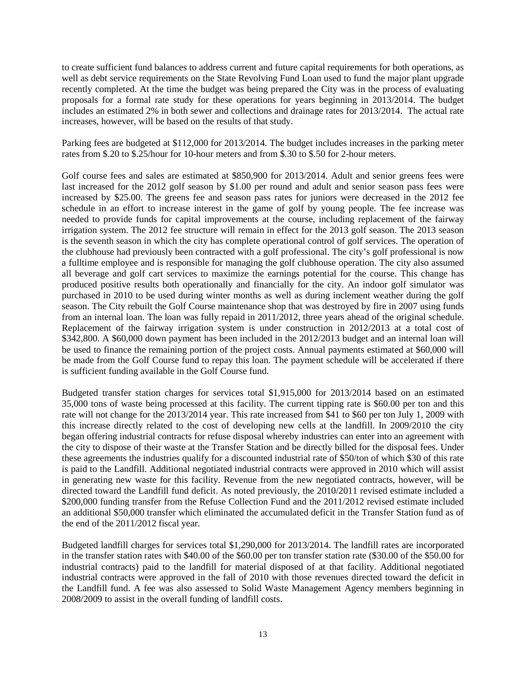to create sufficient fund balances to address current and future capital requirements for both operations, as well as debt service requirements on the State Revolving Fund Loan used to fund the major plant upgrade recently completed. At the time the budget was being prepared the City was in the process of evaluating proposals for a formal rate study for these operations for years beginning in 2013/2014. The budget includes an estimated 2% in both sewer and collections and drainage rates for 2013/2014. The actual rate increases, however, will be based on the results of that study.

Parking fees are budgeted at \$112,000 for 2013/2014. The budget includes increases in the parking meter rates from \$.20 to \$.25/hour for 10-hour meters and from \$.30 to \$.50 for 2-hour meters.

Golf course fees and sales are estimated at \$850,900 for 2013/2014. Adult and senior greens fees were last increased for the 2012 golf season by \$1.00 per round and adult and senior season pass fees were increased by \$25.00. The greens fee and season pass rates for juniors were decreased in the 2012 fee schedule in an effort to increase interest in the game of golf by young people. The fee increase was needed to provide funds for capital improvements at the course, including replacement of the fairway irrigation system. The 2012 fee structure will remain in effect for the 2013 golf season. The 2013 season is the seventh season in which the city has complete operational control of golf services. The operation of the clubhouse had previously been contracted with a golf professional. The city's golf professional is now a fulltime employee and is responsible for managing the golf clubhouse operation. The city also assumed all beverage and golf cart services to maximize the earnings potential for the course. This change has produced positive results both operationally and financially for the city. An indoor golf simulator was purchased in 2010 to be used during winter months as well as during inclement weather during the golf season. The City rebuilt the Golf Course maintenance shop that was destroyed by fire in 2007 using funds from an internal loan. The loan was fully repaid in 2011/2012, three years ahead of the original schedule. Replacement of the fairway irrigation system is under construction in 2012/2013 at a total cost of \$342,800. A \$60,000 down payment has been included in the 2012/2013 budget and an internal loan will be used to finance the remaining portion of the project costs. Annual payments estimated at \$60,000 will be made from the Golf Course fund to repay this loan. The payment schedule will be accelerated if there is sufficient funding available in the Golf Course fund.

Budgeted transfer station charges for services total \$1,915,000 for 2013/2014 based on an estimated 35,000 tons of waste being processed at this facility. The current tipping rate is \$60.00 per ton and this rate will not change for the 2013/2014 year. This rate increased from \$41 to \$60 per ton July 1, 2009 with this increase directly related to the cost of developing new cells at the landfill. In 2009/2010 the city began offering industrial contracts for refuse disposal whereby industries can enter into an agreement with the city to dispose of their waste at the Transfer Station and be directly billed for the disposal fees. Under these agreements the industries qualify for a discounted industrial rate of \$50/ton of which \$30 of this rate is paid to the Landfill. Additional negotiated industrial contracts were approved in 2010 which will assist in generating new waste for this facility. Revenue from the new negotiated contracts, however, will be directed toward the Landfill fund deficit. As noted previously, the 2010/2011 revised estimate included a \$200,000 funding transfer from the Refuse Collection Fund and the 2011/2012 revised estimate included an additional \$50,000 transfer which eliminated the accumulated deficit in the Transfer Station fund as of the end of the 2011/2012 fiscal year.

Budgeted landfill charges for services total \$1,290,000 for 2013/2014. The landfill rates are incorporated in the transfer station rates with \$40.00 of the \$60.00 per ton transfer station rate (\$30.00 of the \$50.00 for industrial contracts) paid to the landfill for material disposed of at that facility. Additional negotiated industrial contracts were approved in the fall of 2010 with those revenues directed toward the deficit in the Landfill fund. A fee was also assessed to Solid Waste Management Agency members beginning in 2008/2009 to assist in the overall funding of landfill costs.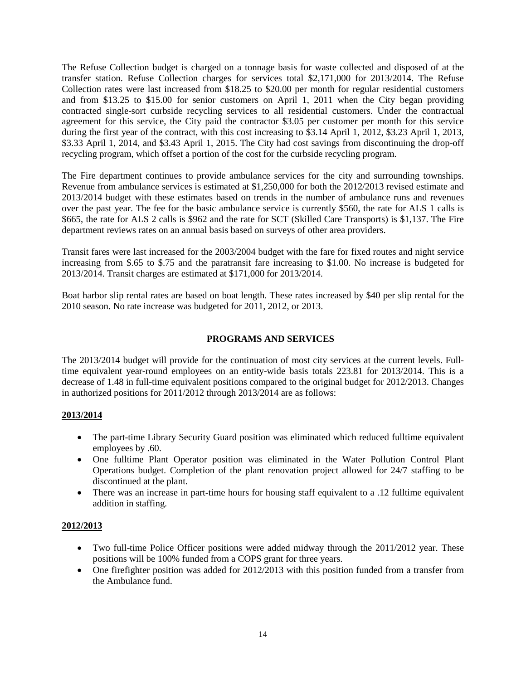The Refuse Collection budget is charged on a tonnage basis for waste collected and disposed of at the transfer station. Refuse Collection charges for services total \$2,171,000 for 2013/2014. The Refuse Collection rates were last increased from \$18.25 to \$20.00 per month for regular residential customers and from \$13.25 to \$15.00 for senior customers on April 1, 2011 when the City began providing contracted single-sort curbside recycling services to all residential customers. Under the contractual agreement for this service, the City paid the contractor \$3.05 per customer per month for this service during the first year of the contract, with this cost increasing to \$3.14 April 1, 2012, \$3.23 April 1, 2013, \$3.33 April 1, 2014, and \$3.43 April 1, 2015. The City had cost savings from discontinuing the drop-off recycling program, which offset a portion of the cost for the curbside recycling program.

The Fire department continues to provide ambulance services for the city and surrounding townships. Revenue from ambulance services is estimated at \$1,250,000 for both the 2012/2013 revised estimate and 2013/2014 budget with these estimates based on trends in the number of ambulance runs and revenues over the past year. The fee for the basic ambulance service is currently \$560, the rate for ALS 1 calls is \$665, the rate for ALS 2 calls is \$962 and the rate for SCT (Skilled Care Transports) is \$1,137. The Fire department reviews rates on an annual basis based on surveys of other area providers.

Transit fares were last increased for the 2003/2004 budget with the fare for fixed routes and night service increasing from \$.65 to \$.75 and the paratransit fare increasing to \$1.00. No increase is budgeted for 2013/2014. Transit charges are estimated at \$171,000 for 2013/2014.

Boat harbor slip rental rates are based on boat length. These rates increased by \$40 per slip rental for the 2010 season. No rate increase was budgeted for 2011, 2012, or 2013.

## **PROGRAMS AND SERVICES**

The 2013/2014 budget will provide for the continuation of most city services at the current levels. Fulltime equivalent year-round employees on an entity-wide basis totals 223.81 for 2013/2014. This is a decrease of 1.48 in full-time equivalent positions compared to the original budget for 2012/2013. Changes in authorized positions for  $2011/2012$  through  $2013/2014$  are as follows:

### **2013/2014**

- The part-time Library Security Guard position was eliminated which reduced fulltime equivalent employees by .60.
- One fulltime Plant Operator position was eliminated in the Water Pollution Control Plant Operations budget. Completion of the plant renovation project allowed for 24/7 staffing to be discontinued at the plant.
- There was an increase in part-time hours for housing staff equivalent to a .12 fulltime equivalent addition in staffing.

### **2012/2013**

- Two full-time Police Officer positions were added midway through the 2011/2012 year. These positions will be 100% funded from a COPS grant for three years.
- One firefighter position was added for 2012/2013 with this position funded from a transfer from the Ambulance fund.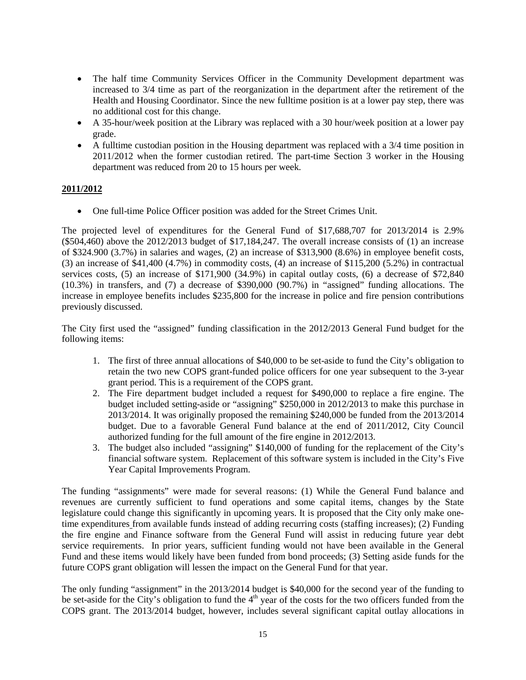- The half time Community Services Officer in the Community Development department was increased to 3/4 time as part of the reorganization in the department after the retirement of the Health and Housing Coordinator. Since the new fulltime position is at a lower pay step, there was no additional cost for this change.
- A 35-hour/week position at the Library was replaced with a 30 hour/week position at a lower pay grade.
- A fulltime custodian position in the Housing department was replaced with a 3/4 time position in 2011/2012 when the former custodian retired. The part-time Section 3 worker in the Housing department was reduced from 20 to 15 hours per week.

# **2011/2012**

• One full-time Police Officer position was added for the Street Crimes Unit.

The projected level of expenditures for the General Fund of \$17,688,707 for 2013/2014 is 2.9% (\$504,460) above the 2012/2013 budget of \$17,184,247. The overall increase consists of (1) an increase of \$324.900 (3.7%) in salaries and wages, (2) an increase of \$313,900 (8.6%) in employee benefit costs, (3) an increase of \$41,400 (4.7%) in commodity costs, (4) an increase of \$115,200 (5.2%) in contractual services costs, (5) an increase of \$171,900 (34.9%) in capital outlay costs, (6) a decrease of \$72,840 (10.3%) in transfers, and (7) a decrease of \$390,000 (90.7%) in "assigned" funding allocations. The increase in employee benefits includes \$235,800 for the increase in police and fire pension contributions previously discussed.

The City first used the "assigned" funding classification in the 2012/2013 General Fund budget for the following items:

- 1. The first of three annual allocations of \$40,000 to be set-aside to fund the City's obligation to retain the two new COPS grant-funded police officers for one year subsequent to the 3-year grant period. This is a requirement of the COPS grant.
- 2. The Fire department budget included a request for \$490,000 to replace a fire engine. The budget included setting-aside or "assigning" \$250,000 in 2012/2013 to make this purchase in 2013/2014. It was originally proposed the remaining \$240,000 be funded from the 2013/2014 budget. Due to a favorable General Fund balance at the end of 2011/2012, City Council authorized funding for the full amount of the fire engine in 2012/2013.
- 3. The budget also included "assigning" \$140,000 of funding for the replacement of the City's financial software system. Replacement of this software system is included in the City's Five Year Capital Improvements Program.

The funding "assignments" were made for several reasons: (1) While the General Fund balance and revenues are currently sufficient to fund operations and some capital items, changes by the State legislature could change this significantly in upcoming years. It is proposed that the City only make onetime expenditures from available funds instead of adding recurring costs (staffing increases); (2) Funding the fire engine and Finance software from the General Fund will assist in reducing future year debt service requirements. In prior years, sufficient funding would not have been available in the General Fund and these items would likely have been funded from bond proceeds; (3) Setting aside funds for the future COPS grant obligation will lessen the impact on the General Fund for that year.

The only funding "assignment" in the 2013/2014 budget is \$40,000 for the second year of the funding to be set-aside for the City's obligation to fund the  $4<sup>th</sup>$  year of the costs for the two officers funded from the COPS grant. The 2013/2014 budget, however, includes several significant capital outlay allocations in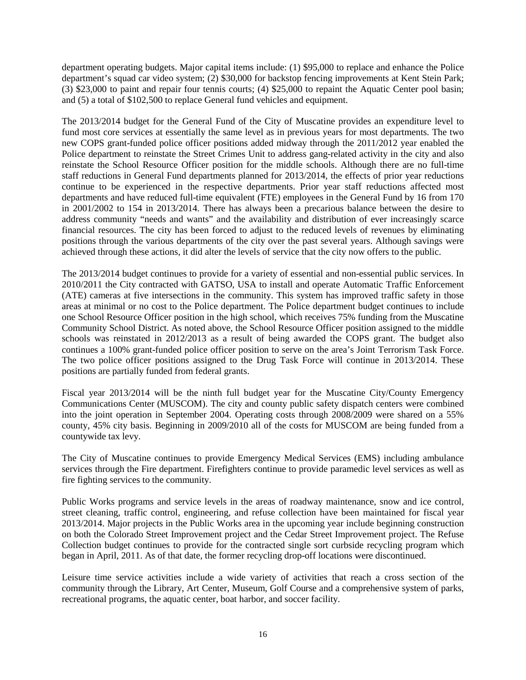department operating budgets. Major capital items include: (1) \$95,000 to replace and enhance the Police department's squad car video system; (2) \$30,000 for backstop fencing improvements at Kent Stein Park; (3) \$23,000 to paint and repair four tennis courts; (4) \$25,000 to repaint the Aquatic Center pool basin; and (5) a total of \$102,500 to replace General fund vehicles and equipment.

The 2013/2014 budget for the General Fund of the City of Muscatine provides an expenditure level to fund most core services at essentially the same level as in previous years for most departments. The two new COPS grant-funded police officer positions added midway through the 2011/2012 year enabled the Police department to reinstate the Street Crimes Unit to address gang-related activity in the city and also reinstate the School Resource Officer position for the middle schools. Although there are no full-time staff reductions in General Fund departments planned for 2013/2014, the effects of prior year reductions continue to be experienced in the respective departments. Prior year staff reductions affected most departments and have reduced full-time equivalent (FTE) employees in the General Fund by 16 from 170 in 2001/2002 to 154 in 2013/2014. There has always been a precarious balance between the desire to address community "needs and wants" and the availability and distribution of ever increasingly scarce financial resources. The city has been forced to adjust to the reduced levels of revenues by eliminating positions through the various departments of the city over the past several years. Although savings were achieved through these actions, it did alter the levels of service that the city now offers to the public.

The 2013/2014 budget continues to provide for a variety of essential and non-essential public services. In 2010/2011 the City contracted with GATSO, USA to install and operate Automatic Traffic Enforcement (ATE) cameras at five intersections in the community. This system has improved traffic safety in those areas at minimal or no cost to the Police department. The Police department budget continues to include one School Resource Officer position in the high school, which receives 75% funding from the Muscatine Community School District. As noted above, the School Resource Officer position assigned to the middle schools was reinstated in 2012/2013 as a result of being awarded the COPS grant. The budget also continues a 100% grant-funded police officer position to serve on the area's Joint Terrorism Task Force. The two police officer positions assigned to the Drug Task Force will continue in 2013/2014. These positions are partially funded from federal grants.

Fiscal year 2013/2014 will be the ninth full budget year for the Muscatine City/County Emergency Communications Center (MUSCOM). The city and county public safety dispatch centers were combined into the joint operation in September 2004. Operating costs through 2008/2009 were shared on a 55% county, 45% city basis. Beginning in 2009/2010 all of the costs for MUSCOM are being funded from a countywide tax levy.

The City of Muscatine continues to provide Emergency Medical Services (EMS) including ambulance services through the Fire department. Firefighters continue to provide paramedic level services as well as fire fighting services to the community.

Public Works programs and service levels in the areas of roadway maintenance, snow and ice control, street cleaning, traffic control, engineering, and refuse collection have been maintained for fiscal year 2013/2014. Major projects in the Public Works area in the upcoming year include beginning construction on both the Colorado Street Improvement project and the Cedar Street Improvement project. The Refuse Collection budget continues to provide for the contracted single sort curbside recycling program which began in April, 2011. As of that date, the former recycling drop-off locations were discontinued.

Leisure time service activities include a wide variety of activities that reach a cross section of the community through the Library, Art Center, Museum, Golf Course and a comprehensive system of parks, recreational programs, the aquatic center, boat harbor, and soccer facility.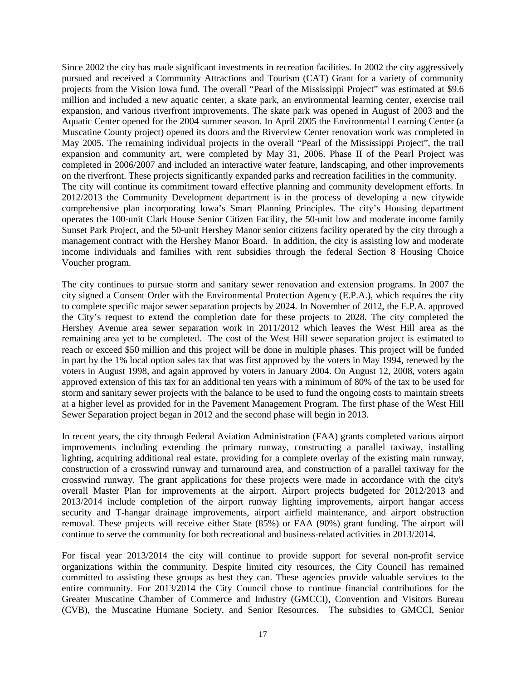Since 2002 the city has made significant investments in recreation facilities. In 2002 the city aggressively pursued and received a Community Attractions and Tourism (CAT) Grant for a variety of community projects from the Vision Iowa fund. The overall "Pearl of the Mississippi Project" was estimated at \$9.6 million and included a new aquatic center, a skate park, an environmental learning center, exercise trail expansion, and various riverfront improvements. The skate park was opened in August of 2003 and the Aquatic Center opened for the 2004 summer season. In April 2005 the Environmental Learning Center (a Muscatine County project) opened its doors and the Riverview Center renovation work was completed in May 2005. The remaining individual projects in the overall "Pearl of the Mississippi Project", the trail expansion and community art, were completed by May 31, 2006. Phase II of the Pearl Project was completed in 2006/2007 and included an interactive water feature, landscaping, and other improvements on the riverfront. These projects significantly expanded parks and recreation facilities in the community. The city will continue its commitment toward effective planning and community development efforts. In 2012/2013 the Community Development department is in the process of developing a new citywide comprehensive plan incorporating Iowa's Smart Planning Principles. The city's Housing department operates the 100-unit Clark House Senior Citizen Facility, the 50-unit low and moderate income family Sunset Park Project, and the 50-unit Hershey Manor senior citizens facility operated by the city through a management contract with the Hershey Manor Board. In addition, the city is assisting low and moderate income individuals and families with rent subsidies through the federal Section 8 Housing Choice Voucher program.

The city continues to pursue storm and sanitary sewer renovation and extension programs. In 2007 the city signed a Consent Order with the Environmental Protection Agency (E.P.A.), which requires the city to complete specific major sewer separation projects by 2024. In November of 2012, the E.P.A. approved the City's request to extend the completion date for these projects to 2028. The city completed the Hershey Avenue area sewer separation work in 2011/2012 which leaves the West Hill area as the remaining area yet to be completed. The cost of the West Hill sewer separation project is estimated to reach or exceed \$50 million and this project will be done in multiple phases. This project will be funded in part by the 1% local option sales tax that was first approved by the voters in May 1994, renewed by the voters in August 1998, and again approved by voters in January 2004. On August 12, 2008, voters again approved extension of this tax for an additional ten years with a minimum of 80% of the tax to be used for storm and sanitary sewer projects with the balance to be used to fund the ongoing costs to maintain streets at a higher level as provided for in the Pavement Management Program. The first phase of the West Hill Sewer Separation project began in 2012 and the second phase will begin in 2013.

In recent years, the city through Federal Aviation Administration (FAA) grants completed various airport improvements including extending the primary runway, constructing a parallel taxiway, installing lighting, acquiring additional real estate, providing for a complete overlay of the existing main runway, construction of a crosswind runway and turnaround area, and construction of a parallel taxiway for the crosswind runway. The grant applications for these projects were made in accordance with the city's overall Master Plan for improvements at the airport. Airport projects budgeted for 2012/2013 and 2013/2014 include completion of the airport runway lighting improvements, airport hangar access security and T-hangar drainage improvements, airport airfield maintenance, and airport obstruction removal. These projects will receive either State (85%) or FAA (90%) grant funding. The airport will continue to serve the community for both recreational and business-related activities in 2013/2014.

For fiscal year 2013/2014 the city will continue to provide support for several non-profit service organizations within the community. Despite limited city resources, the City Council has remained committed to assisting these groups as best they can. These agencies provide valuable services to the entire community. For 2013/2014 the City Council chose to continue financial contributions for the Greater Muscatine Chamber of Commerce and Industry (GMCCI), Convention and Visitors Bureau (CVB), the Muscatine Humane Society, and Senior Resources. The subsidies to GMCCI, Senior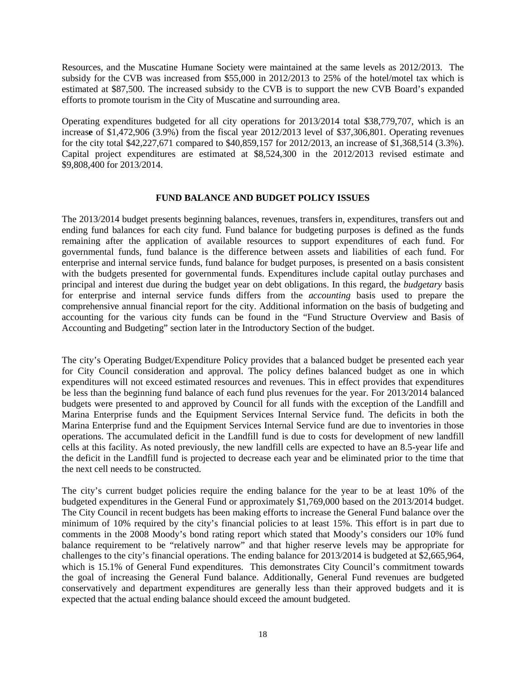Resources, and the Muscatine Humane Society were maintained at the same levels as 2012/2013. The subsidy for the CVB was increased from \$55,000 in 2012/2013 to 25% of the hotel/motel tax which is estimated at \$87,500. The increased subsidy to the CVB is to support the new CVB Board's expanded efforts to promote tourism in the City of Muscatine and surrounding area.

Operating expenditures budgeted for all city operations for 2013/2014 total \$38,779,707, which is an increas**e** of \$1,472,906 (3.9%) from the fiscal year 2012/2013 level of \$37,306,801. Operating revenues for the city total \$42,227,671 compared to \$40,859,157 for 2012/2013, an increase of \$1,368,514 (3.3%). Capital project expenditures are estimated at \$8,524,300 in the 2012/2013 revised estimate and \$9,808,400 for 2013/2014.

#### **FUND BALANCE AND BUDGET POLICY ISSUES**

The 2013/2014 budget presents beginning balances, revenues, transfers in, expenditures, transfers out and ending fund balances for each city fund. Fund balance for budgeting purposes is defined as the funds remaining after the application of available resources to support expenditures of each fund. For governmental funds, fund balance is the difference between assets and liabilities of each fund. For enterprise and internal service funds, fund balance for budget purposes, is presented on a basis consistent with the budgets presented for governmental funds. Expenditures include capital outlay purchases and principal and interest due during the budget year on debt obligations. In this regard, the *budgetary* basis for enterprise and internal service funds differs from the *accounting* basis used to prepare the comprehensive annual financial report for the city. Additional information on the basis of budgeting and accounting for the various city funds can be found in the "Fund Structure Overview and Basis of Accounting and Budgeting" section later in the Introductory Section of the budget.

The city's Operating Budget/Expenditure Policy provides that a balanced budget be presented each year for City Council consideration and approval. The policy defines balanced budget as one in which expenditures will not exceed estimated resources and revenues. This in effect provides that expenditures be less than the beginning fund balance of each fund plus revenues for the year. For 2013/2014 balanced budgets were presented to and approved by Council for all funds with the exception of the Landfill and Marina Enterprise funds and the Equipment Services Internal Service fund. The deficits in both the Marina Enterprise fund and the Equipment Services Internal Service fund are due to inventories in those operations. The accumulated deficit in the Landfill fund is due to costs for development of new landfill cells at this facility. As noted previously, the new landfill cells are expected to have an 8.5-year life and the deficit in the Landfill fund is projected to decrease each year and be eliminated prior to the time that the next cell needs to be constructed.

The city's current budget policies require the ending balance for the year to be at least 10% of the budgeted expenditures in the General Fund or approximately \$1,769,000 based on the 2013/2014 budget. The City Council in recent budgets has been making efforts to increase the General Fund balance over the minimum of 10% required by the city's financial policies to at least 15%. This effort is in part due to comments in the 2008 Moody's bond rating report which stated that Moody's considers our 10% fund balance requirement to be "relatively narrow" and that higher reserve levels may be appropriate for challenges to the city's financial operations. The ending balance for 2013/2014 is budgeted at \$2,665,964, which is 15.1% of General Fund expenditures. This demonstrates City Council's commitment towards the goal of increasing the General Fund balance. Additionally, General Fund revenues are budgeted conservatively and department expenditures are generally less than their approved budgets and it is expected that the actual ending balance should exceed the amount budgeted.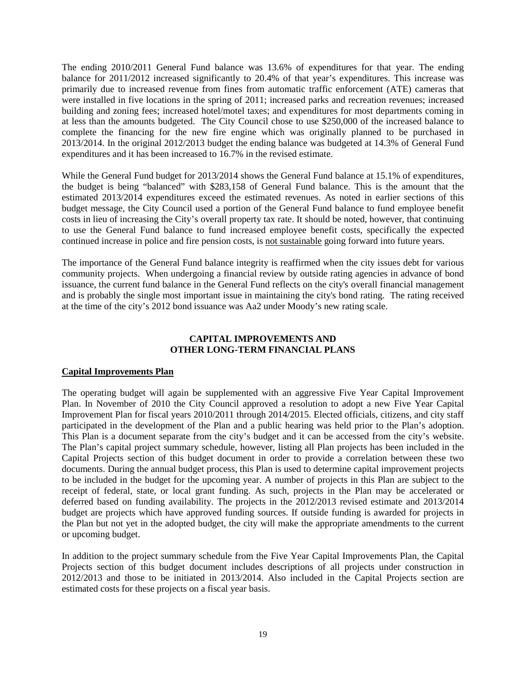The ending 2010/2011 General Fund balance was 13.6% of expenditures for that year. The ending balance for 2011/2012 increased significantly to 20.4% of that year's expenditures. This increase was primarily due to increased revenue from fines from automatic traffic enforcement (ATE) cameras that were installed in five locations in the spring of 2011; increased parks and recreation revenues; increased building and zoning fees; increased hotel/motel taxes; and expenditures for most departments coming in at less than the amounts budgeted. The City Council chose to use \$250,000 of the increased balance to complete the financing for the new fire engine which was originally planned to be purchased in 2013/2014. In the original 2012/2013 budget the ending balance was budgeted at 14.3% of General Fund expenditures and it has been increased to 16.7% in the revised estimate.

While the General Fund budget for 2013/2014 shows the General Fund balance at 15.1% of expenditures, the budget is being "balanced" with \$283,158 of General Fund balance. This is the amount that the estimated 2013/2014 expenditures exceed the estimated revenues. As noted in earlier sections of this budget message, the City Council used a portion of the General Fund balance to fund employee benefit costs in lieu of increasing the City's overall property tax rate. It should be noted, however, that continuing to use the General Fund balance to fund increased employee benefit costs, specifically the expected continued increase in police and fire pension costs, is not sustainable going forward into future years.

The importance of the General Fund balance integrity is reaffirmed when the city issues debt for various community projects. When undergoing a financial review by outside rating agencies in advance of bond issuance, the current fund balance in the General Fund reflects on the city's overall financial management and is probably the single most important issue in maintaining the city's bond rating. The rating received at the time of the city's 2012 bond issuance was Aa2 under Moody's new rating scale.

# **CAPITAL IMPROVEMENTS AND OTHER LONG-TERM FINANCIAL PLANS**

### **Capital Improvements Plan**

The operating budget will again be supplemented with an aggressive Five Year Capital Improvement Plan. In November of 2010 the City Council approved a resolution to adopt a new Five Year Capital Improvement Plan for fiscal years 2010/2011 through 2014/2015. Elected officials, citizens, and city staff participated in the development of the Plan and a public hearing was held prior to the Plan's adoption. This Plan is a document separate from the city's budget and it can be accessed from the city's website. The Plan's capital project summary schedule, however, listing all Plan projects has been included in the Capital Projects section of this budget document in order to provide a correlation between these two documents. During the annual budget process, this Plan is used to determine capital improvement projects to be included in the budget for the upcoming year. A number of projects in this Plan are subject to the receipt of federal, state, or local grant funding. As such, projects in the Plan may be accelerated or deferred based on funding availability. The projects in the 2012/2013 revised estimate and 2013/2014 budget are projects which have approved funding sources. If outside funding is awarded for projects in the Plan but not yet in the adopted budget, the city will make the appropriate amendments to the current or upcoming budget.

In addition to the project summary schedule from the Five Year Capital Improvements Plan, the Capital Projects section of this budget document includes descriptions of all projects under construction in 2012/2013 and those to be initiated in 2013/2014. Also included in the Capital Projects section are estimated costs for these projects on a fiscal year basis.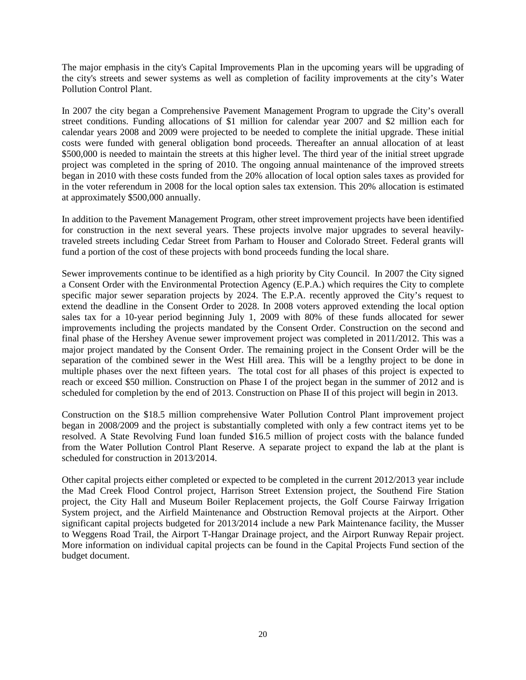The major emphasis in the city's Capital Improvements Plan in the upcoming years will be upgrading of the city's streets and sewer systems as well as completion of facility improvements at the city's Water Pollution Control Plant.

In 2007 the city began a Comprehensive Pavement Management Program to upgrade the City's overall street conditions. Funding allocations of \$1 million for calendar year 2007 and \$2 million each for calendar years 2008 and 2009 were projected to be needed to complete the initial upgrade. These initial costs were funded with general obligation bond proceeds. Thereafter an annual allocation of at least \$500,000 is needed to maintain the streets at this higher level. The third year of the initial street upgrade project was completed in the spring of 2010. The ongoing annual maintenance of the improved streets began in 2010 with these costs funded from the 20% allocation of local option sales taxes as provided for in the voter referendum in 2008 for the local option sales tax extension. This 20% allocation is estimated at approximately \$500,000 annually.

In addition to the Pavement Management Program, other street improvement projects have been identified for construction in the next several years. These projects involve major upgrades to several heavilytraveled streets including Cedar Street from Parham to Houser and Colorado Street. Federal grants will fund a portion of the cost of these projects with bond proceeds funding the local share.

Sewer improvements continue to be identified as a high priority by City Council. In 2007 the City signed a Consent Order with the Environmental Protection Agency (E.P.A.) which requires the City to complete specific major sewer separation projects by 2024. The E.P.A. recently approved the City's request to extend the deadline in the Consent Order to 2028. In 2008 voters approved extending the local option sales tax for a 10-year period beginning July 1, 2009 with 80% of these funds allocated for sewer improvements including the projects mandated by the Consent Order. Construction on the second and final phase of the Hershey Avenue sewer improvement project was completed in 2011/2012. This was a major project mandated by the Consent Order. The remaining project in the Consent Order will be the separation of the combined sewer in the West Hill area. This will be a lengthy project to be done in multiple phases over the next fifteen years. The total cost for all phases of this project is expected to reach or exceed \$50 million. Construction on Phase I of the project began in the summer of 2012 and is scheduled for completion by the end of 2013. Construction on Phase II of this project will begin in 2013.

Construction on the \$18.5 million comprehensive Water Pollution Control Plant improvement project began in 2008/2009 and the project is substantially completed with only a few contract items yet to be resolved. A State Revolving Fund loan funded \$16.5 million of project costs with the balance funded from the Water Pollution Control Plant Reserve. A separate project to expand the lab at the plant is scheduled for construction in 2013/2014.

Other capital projects either completed or expected to be completed in the current 2012/2013 year include the Mad Creek Flood Control project, Harrison Street Extension project, the Southend Fire Station project, the City Hall and Museum Boiler Replacement projects, the Golf Course Fairway Irrigation System project, and the Airfield Maintenance and Obstruction Removal projects at the Airport. Other significant capital projects budgeted for 2013/2014 include a new Park Maintenance facility, the Musser to Weggens Road Trail, the Airport T-Hangar Drainage project, and the Airport Runway Repair project. More information on individual capital projects can be found in the Capital Projects Fund section of the budget document.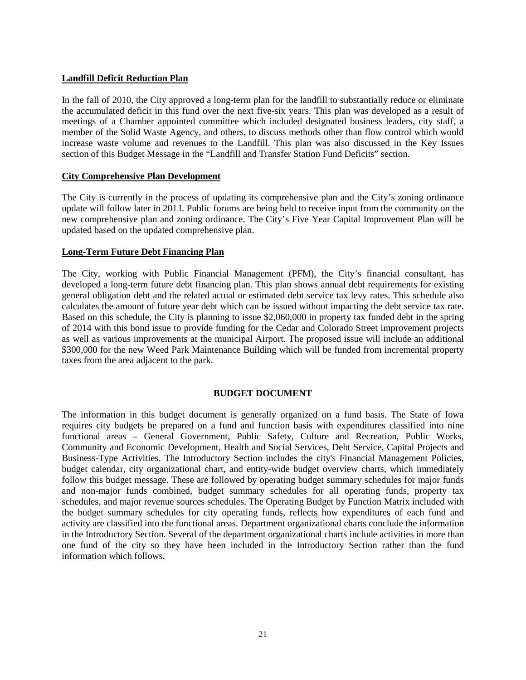## **Landfill Deficit Reduction Plan**

In the fall of 2010, the City approved a long-term plan for the landfill to substantially reduce or eliminate the accumulated deficit in this fund over the next five-six years. This plan was developed as a result of meetings of a Chamber appointed committee which included designated business leaders, city staff, a member of the Solid Waste Agency, and others, to discuss methods other than flow control which would increase waste volume and revenues to the Landfill. This plan was also discussed in the Key Issues section of this Budget Message in the "Landfill and Transfer Station Fund Deficits" section.

### **City Comprehensive Plan Development**

The City is currently in the process of updating its comprehensive plan and the City's zoning ordinance update will follow later in 2013. Public forums are being held to receive input from the community on the new comprehensive plan and zoning ordinance. The City's Five Year Capital Improvement Plan will be updated based on the updated comprehensive plan.

### **Long-Term Future Debt Financing Plan**

The City, working with Public Financial Management (PFM), the City's financial consultant, has developed a long-term future debt financing plan. This plan shows annual debt requirements for existing general obligation debt and the related actual or estimated debt service tax levy rates. This schedule also calculates the amount of future year debt which can be issued without impacting the debt service tax rate. Based on this schedule, the City is planning to issue \$2,060,000 in property tax funded debt in the spring of 2014 with this bond issue to provide funding for the Cedar and Colorado Street improvement projects as well as various improvements at the municipal Airport. The proposed issue will include an additional \$300,000 for the new Weed Park Maintenance Building which will be funded from incremental property taxes from the area adjacent to the park.

### **BUDGET DOCUMENT**

The information in this budget document is generally organized on a fund basis. The State of Iowa requires city budgets be prepared on a fund and function basis with expenditures classified into nine functional areas – General Government, Public Safety, Culture and Recreation, Public Works, Community and Economic Development, Health and Social Services, Debt Service, Capital Projects and Business-Type Activities. The Introductory Section includes the city's Financial Management Policies, budget calendar, city organizational chart, and entity-wide budget overview charts, which immediately follow this budget message. These are followed by operating budget summary schedules for major funds and non-major funds combined, budget summary schedules for all operating funds, property tax schedules, and major revenue sources schedules. The Operating Budget by Function Matrix included with the budget summary schedules for city operating funds, reflects how expenditures of each fund and activity are classified into the functional areas. Department organizational charts conclude the information in the Introductory Section. Several of the department organizational charts include activities in more than one fund of the city so they have been included in the Introductory Section rather than the fund information which follows.